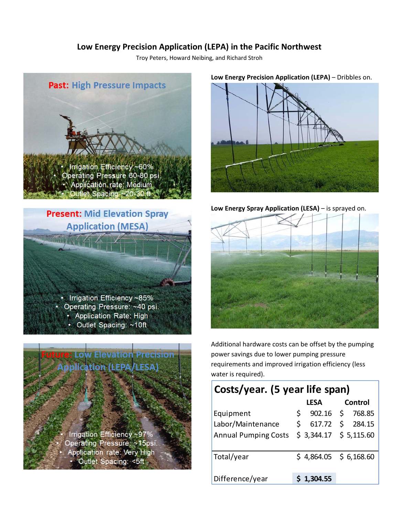# **Low Energy Precision Application (LEPA) in the Pacific Northwest**

Troy Peters, Howard Neibing, and Richard Stroh







#### **Low Energy Precision Application (LEPA)** – Dribbles on.



**Low Energy Spray Application (LESA)** – is sprayed on.



Additional hardware costs can be offset by the pumping power savings due to lower pumping pressure requirements and improved irrigation efficiency (less water is required).

# **Costs/year. (5 year life span)**

|                             | <b>LESA</b>  | Control                 |
|-----------------------------|--------------|-------------------------|
| Equipment                   | S.           | 902.16 \$ 768.85        |
| Labor/Maintenance           | 617.72<br>S. | \$284.15                |
| <b>Annual Pumping Costs</b> |              | $$3,344.17$ $$5,115.60$ |
|                             |              |                         |
| Total/year                  |              | $$4,864.05$ $$6,168.60$ |
|                             |              |                         |
| Difference/year             | \$1,304.55   |                         |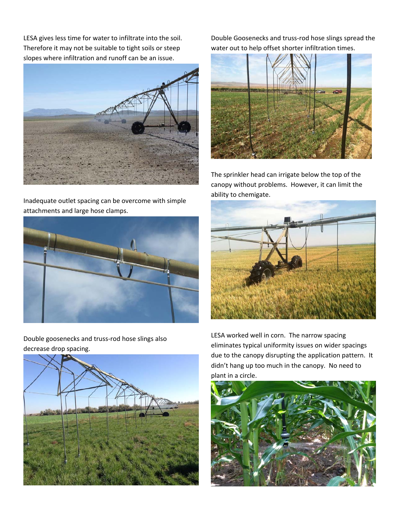LESA gives less time for water to infiltrate into the soil. Therefore it may not be suitable to tight soils or steep slopes where infiltration and runoff can be an issue.



Inadequate outlet spacing can be overcome with simple attachments and large hose clamps.



Double goosenecks and truss‐rod hose slings also decrease drop spacing.



Double Goosenecks and truss‐rod hose slings spread the water out to help offset shorter infiltration times.



The sprinkler head can irrigate below the top of the canopy without problems. However, it can limit the ability to chemigate.



LESA worked well in corn. The narrow spacing eliminates typical uniformity issues on wider spacings due to the canopy disrupting the application pattern. It didn't hang up too much in the canopy. No need to plant in a circle.